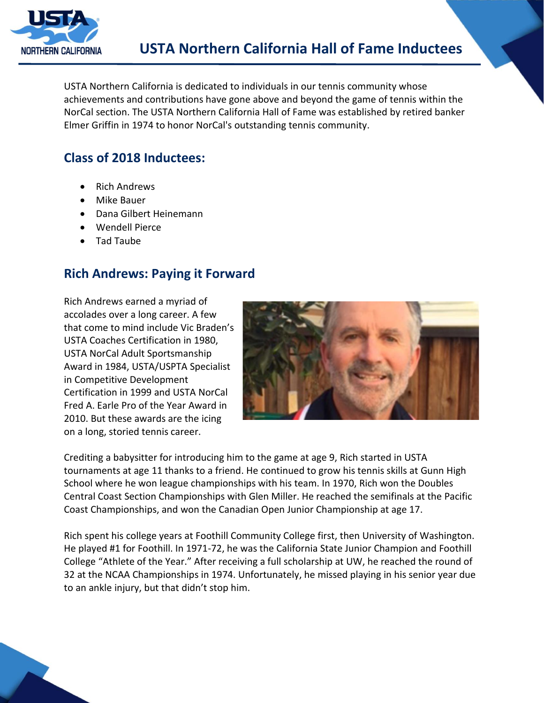

USTA Northern California is dedicated to individuals in our tennis community whose achievements and contributions have gone above and beyond the game of tennis within the NorCal section. The USTA Northern California Hall of Fame was established by retired banker Elmer Griffin in 1974 to honor NorCal's outstanding tennis community.

## **Class of 2018 Inductees:**

- Rich Andrews
- Mike Bauer
- Dana Gilbert Heinemann
- Wendell Pierce
- Tad Taube

### **Rich Andrews: Paying it Forward**

Rich Andrews earned a myriad of accolades over a long career. A few that come to mind include Vic Braden's USTA Coaches Certification in 1980, USTA NorCal Adult Sportsmanship Award in 1984, USTA/USPTA Specialist in Competitive Development Certification in 1999 and USTA NorCal Fred A. Earle Pro of the Year Award in 2010. But these awards are the icing on a long, storied tennis career.



Crediting a babysitter for introducing him to the game at age 9, Rich started in USTA tournaments at age 11 thanks to a friend. He continued to grow his tennis skills at Gunn High School where he won league championships with his team. In 1970, Rich won the Doubles Central Coast Section Championships with Glen Miller. He reached the semifinals at the Pacific Coast Championships, and won the Canadian Open Junior Championship at age 17.

Rich spent his college years at Foothill Community College first, then University of Washington. He played #1 for Foothill. In 1971-72, he was the California State Junior Champion and Foothill College "Athlete of the Year." After receiving a full scholarship at UW, he reached the round of 32 at the NCAA Championships in 1974. Unfortunately, he missed playing in his senior year due to an ankle injury, but that didn't stop him.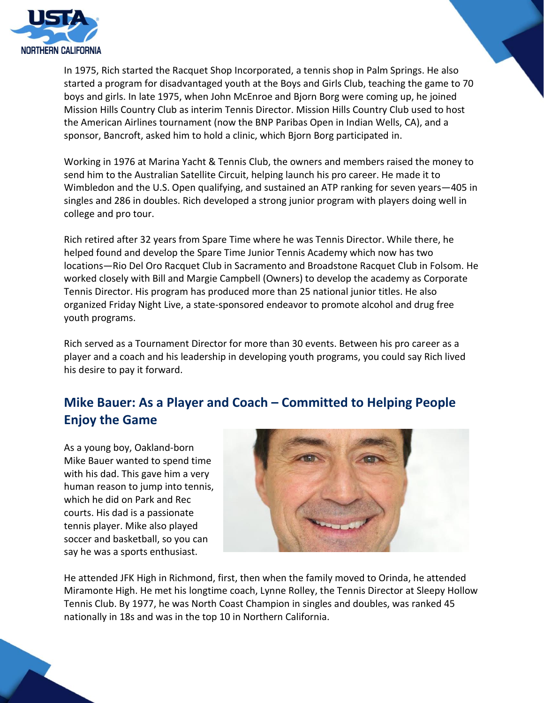

In 1975, Rich started the Racquet Shop Incorporated, a tennis shop in Palm Springs. He also started a program for disadvantaged youth at the Boys and Girls Club, teaching the game to 70 boys and girls. In late 1975, when John McEnroe and Bjorn Borg were coming up, he joined Mission Hills Country Club as interim Tennis Director. Mission Hills Country Club used to host the American Airlines tournament (now the BNP Paribas Open in Indian Wells, CA), and a sponsor, Bancroft, asked him to hold a clinic, which Bjorn Borg participated in.

Working in 1976 at Marina Yacht & Tennis Club, the owners and members raised the money to send him to the Australian Satellite Circuit, helping launch his pro career. He made it to Wimbledon and the U.S. Open qualifying, and sustained an ATP ranking for seven years—405 in singles and 286 in doubles. Rich developed a strong junior program with players doing well in college and pro tour.

Rich retired after 32 years from Spare Time where he was Tennis Director. While there, he helped found and develop the Spare Time Junior Tennis Academy which now has two locations—Rio Del Oro Racquet Club in Sacramento and Broadstone Racquet Club in Folsom. He worked closely with Bill and Margie Campbell (Owners) to develop the academy as Corporate Tennis Director. His program has produced more than 25 national junior titles. He also organized Friday Night Live, a state-sponsored endeavor to promote alcohol and drug free youth programs.

Rich served as a Tournament Director for more than 30 events. Between his pro career as a player and a coach and his leadership in developing youth programs, you could say Rich lived his desire to pay it forward.

# **Mike Bauer: As a Player and Coach – Committed to Helping People Enjoy the Game**

As a young boy, Oakland-born Mike Bauer wanted to spend time with his dad. This gave him a very human reason to jump into tennis, which he did on Park and Rec courts. His dad is a passionate tennis player. Mike also played soccer and basketball, so you can say he was a sports enthusiast.



He attended JFK High in Richmond, first, then when the family moved to Orinda, he attended Miramonte High. He met his longtime coach, Lynne Rolley, the Tennis Director at Sleepy Hollow Tennis Club. By 1977, he was North Coast Champion in singles and doubles, was ranked 45 nationally in 18s and was in the top 10 in Northern California.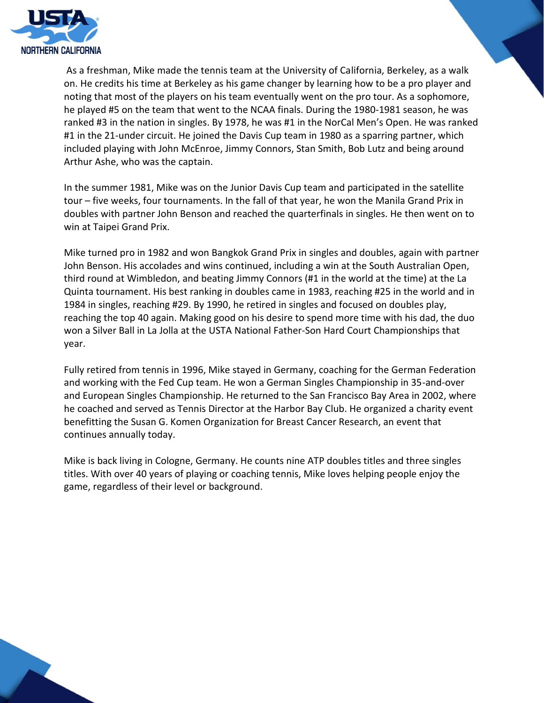

As a freshman, Mike made the tennis team at the University of California, Berkeley, as a walk on. He credits his time at Berkeley as his game changer by learning how to be a pro player and noting that most of the players on his team eventually went on the pro tour. As a sophomore, he played #5 on the team that went to the NCAA finals. During the 1980-1981 season, he was ranked #3 in the nation in singles. By 1978, he was #1 in the NorCal Men's Open. He was ranked #1 in the 21-under circuit. He joined the Davis Cup team in 1980 as a sparring partner, which included playing with John McEnroe, Jimmy Connors, Stan Smith, Bob Lutz and being around Arthur Ashe, who was the captain.

In the summer 1981, Mike was on the Junior Davis Cup team and participated in the satellite tour – five weeks, four tournaments. In the fall of that year, he won the Manila Grand Prix in doubles with partner John Benson and reached the quarterfinals in singles. He then went on to win at Taipei Grand Prix.

Mike turned pro in 1982 and won Bangkok Grand Prix in singles and doubles, again with partner John Benson. His accolades and wins continued, including a win at the South Australian Open, third round at Wimbledon, and beating Jimmy Connors (#1 in the world at the time) at the La Quinta tournament. His best ranking in doubles came in 1983, reaching #25 in the world and in 1984 in singles, reaching #29. By 1990, he retired in singles and focused on doubles play, reaching the top 40 again. Making good on his desire to spend more time with his dad, the duo won a Silver Ball in La Jolla at the USTA National Father-Son Hard Court Championships that year.

Fully retired from tennis in 1996, Mike stayed in Germany, coaching for the German Federation and working with the Fed Cup team. He won a German Singles Championship in 35-and-over and European Singles Championship. He returned to the San Francisco Bay Area in 2002, where he coached and served as Tennis Director at the Harbor Bay Club. He organized a charity event benefitting the Susan G. Komen Organization for Breast Cancer Research, an event that continues annually today.

Mike is back living in Cologne, Germany. He counts nine ATP doubles titles and three singles titles. With over 40 years of playing or coaching tennis, Mike loves helping people enjoy the game, regardless of their level or background.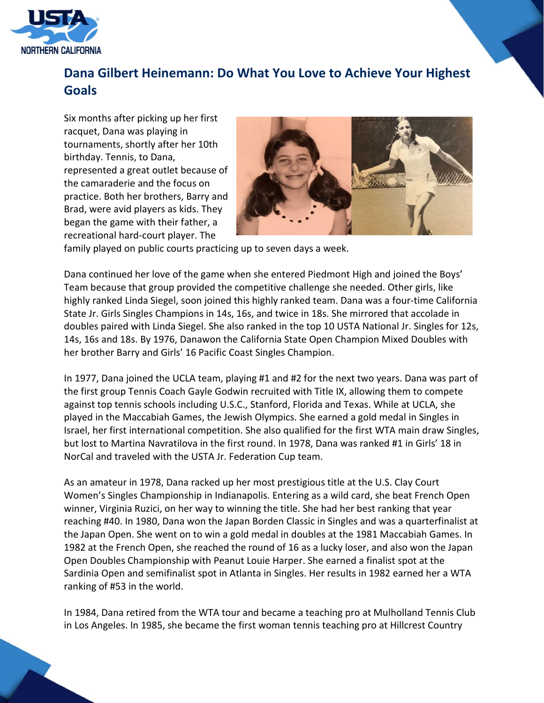

# **Dana Gilbert Heinemann: Do What You Love to Achieve Your Highest Goals**

Six months after picking up her first racquet, Dana was playing in tournaments, shortly after her 10th birthday. Tennis, to Dana, represented a great outlet because of the camaraderie and the focus on practice. Both her brothers, Barry and Brad, were avid players as kids. They began the game with their father, a recreational hard-court player. The



family played on public courts practicing up to seven days a week.

Dana continued her love of the game when she entered Piedmont High and joined the Boys' Team because that group provided the competitive challenge she needed. Other girls, like highly ranked Linda Siegel, soon joined this highly ranked team. Dana was a four-time California State Jr. Girls Singles Champions in 14s, 16s, and twice in 18s. She mirrored that accolade in doubles paired with Linda Siegel. She also ranked in the top 10 USTA National Jr. Singles for 12s, 14s, 16s and 18s. By 1976, Danawon the California State Open Champion Mixed Doubles with her brother Barry and Girls' 16 Pacific Coast Singles Champion.

In 1977, Dana joined the UCLA team, playing #1 and #2 for the next two years. Dana was part of the first group Tennis Coach Gayle Godwin recruited with Title IX, allowing them to compete against top tennis schools including U.S.C., Stanford, Florida and Texas. While at UCLA, she played in the Maccabiah Games, the Jewish Olympics. She earned a gold medal in Singles in Israel, her first international competition. She also qualified for the first WTA main draw Singles, but lost to Martina Navratilova in the first round. In 1978, Dana was ranked #1 in Girls' 18 in NorCal and traveled with the USTA Jr. Federation Cup team.

As an amateur in 1978, Dana racked up her most prestigious title at the U.S. Clay Court Women's Singles Championship in Indianapolis. Entering as a wild card, she beat French Open winner, Virginia Ruzici, on her way to winning the title. She had her best ranking that year reaching #40. In 1980, Dana won the Japan Borden Classic in Singles and was a quarterfinalist at the Japan Open. She went on to win a gold medal in doubles at the 1981 Maccabiah Games. In 1982 at the French Open, she reached the round of 16 as a lucky loser, and also won the Japan Open Doubles Championship with Peanut Louie Harper. She earned a finalist spot at the Sardinia Open and semifinalist spot in Atlanta in Singles. Her results in 1982 earned her a WTA ranking of #53 in the world.

In 1984, Dana retired from the WTA tour and became a teaching pro at Mulholland Tennis Club in Los Angeles. In 1985, she became the first woman tennis teaching pro at Hillcrest Country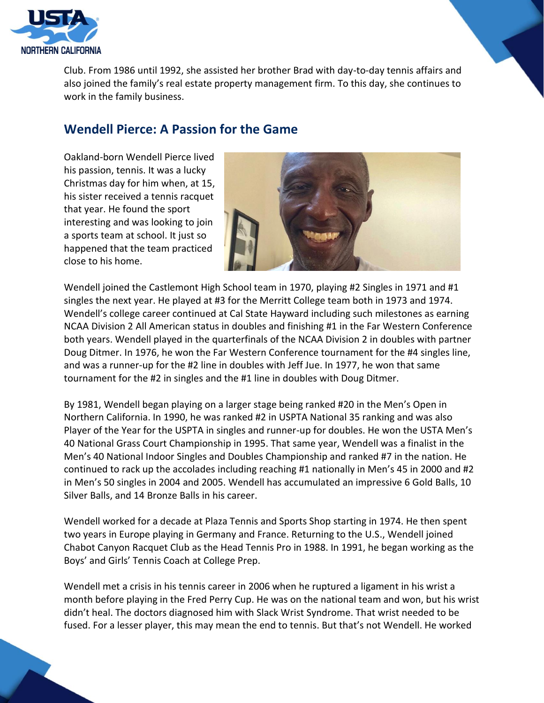

Club. From 1986 until 1992, she assisted her brother Brad with day-to-day tennis affairs and also joined the family's real estate property management firm. To this day, she continues to work in the family business.

#### **Wendell Pierce: A Passion for the Game**

Oakland-born Wendell Pierce lived his passion, tennis. It was a lucky Christmas day for him when, at 15, his sister received a tennis racquet that year. He found the sport interesting and was looking to join a sports team at school. It just so happened that the team practiced close to his home.



Wendell joined the Castlemont High School team in 1970, playing #2 Singles in 1971 and #1 singles the next year. He played at #3 for the Merritt College team both in 1973 and 1974. Wendell's college career continued at Cal State Hayward including such milestones as earning NCAA Division 2 All American status in doubles and finishing #1 in the Far Western Conference both years. Wendell played in the quarterfinals of the NCAA Division 2 in doubles with partner Doug Ditmer. In 1976, he won the Far Western Conference tournament for the #4 singles line, and was a runner-up for the #2 line in doubles with Jeff Jue. In 1977, he won that same tournament for the #2 in singles and the #1 line in doubles with Doug Ditmer.

By 1981, Wendell began playing on a larger stage being ranked #20 in the Men's Open in Northern California. In 1990, he was ranked #2 in USPTA National 35 ranking and was also Player of the Year for the USPTA in singles and runner-up for doubles. He won the USTA Men's 40 National Grass Court Championship in 1995. That same year, Wendell was a finalist in the Men's 40 National Indoor Singles and Doubles Championship and ranked #7 in the nation. He continued to rack up the accolades including reaching #1 nationally in Men's 45 in 2000 and #2 in Men's 50 singles in 2004 and 2005. Wendell has accumulated an impressive 6 Gold Balls, 10 Silver Balls, and 14 Bronze Balls in his career.

Wendell worked for a decade at Plaza Tennis and Sports Shop starting in 1974. He then spent two years in Europe playing in Germany and France. Returning to the U.S., Wendell joined Chabot Canyon Racquet Club as the Head Tennis Pro in 1988. In 1991, he began working as the Boys' and Girls' Tennis Coach at College Prep.

Wendell met a crisis in his tennis career in 2006 when he ruptured a ligament in his wrist a month before playing in the Fred Perry Cup. He was on the national team and won, but his wrist didn't heal. The doctors diagnosed him with Slack Wrist Syndrome. That wrist needed to be fused. For a lesser player, this may mean the end to tennis. But that's not Wendell. He worked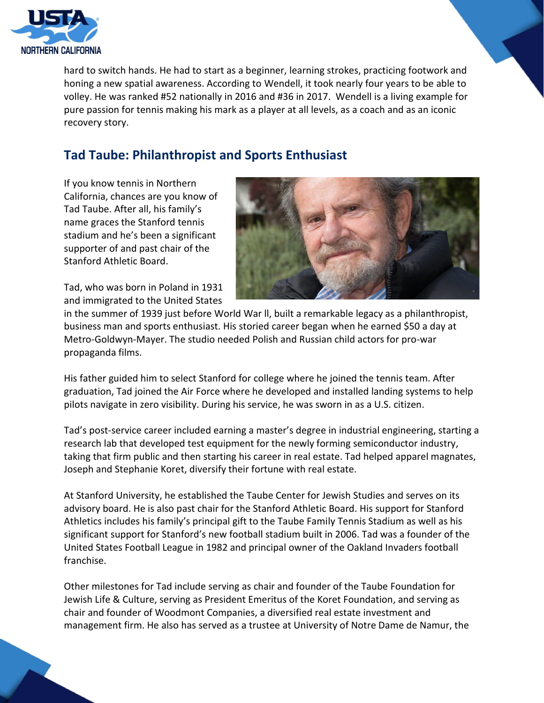

hard to switch hands. He had to start as a beginner, learning strokes, practicing footwork and honing a new spatial awareness. According to Wendell, it took nearly four years to be able to volley. He was ranked #52 nationally in 2016 and #36 in 2017. Wendell is a living example for pure passion for tennis making his mark as a player at all levels, as a coach and as an iconic recovery story.

## **Tad Taube: Philanthropist and Sports Enthusiast**

If you know tennis in Northern California, chances are you know of Tad Taube. After all, his family's name graces the Stanford tennis stadium and he's been a significant supporter of and past chair of the Stanford Athletic Board.

Tad, who was born in Poland in 1931 and immigrated to the United States



in the summer of 1939 just before World War ll, built a remarkable legacy as a philanthropist, business man and sports enthusiast. His storied career began when he earned \$50 a day at Metro-Goldwyn-Mayer. The studio needed Polish and Russian child actors for pro-war propaganda films.

His father guided him to select Stanford for college where he joined the tennis team. After graduation, Tad joined the Air Force where he developed and installed landing systems to help pilots navigate in zero visibility. During his service, he was sworn in as a U.S. citizen.

Tad's post-service career included earning a master's degree in industrial engineering, starting a research lab that developed test equipment for the newly forming semiconductor industry, taking that firm public and then starting his career in real estate. Tad helped apparel magnates, Joseph and Stephanie Koret, diversify their fortune with real estate.

At Stanford University, he established the Taube Center for Jewish Studies and serves on its advisory board. He is also past chair for the Stanford Athletic Board. His support for Stanford Athletics includes his family's principal gift to the Taube Family Tennis Stadium as well as his significant support for Stanford's new football stadium built in 2006. Tad was a founder of the United States Football League in 1982 and principal owner of the Oakland Invaders football franchise.

Other milestones for Tad include serving as chair and founder of the Taube Foundation for Jewish Life & Culture, serving as President Emeritus of the Koret Foundation, and serving as chair and founder of Woodmont Companies, a diversified real estate investment and management firm. He also has served as a trustee at University of Notre Dame de Namur, the